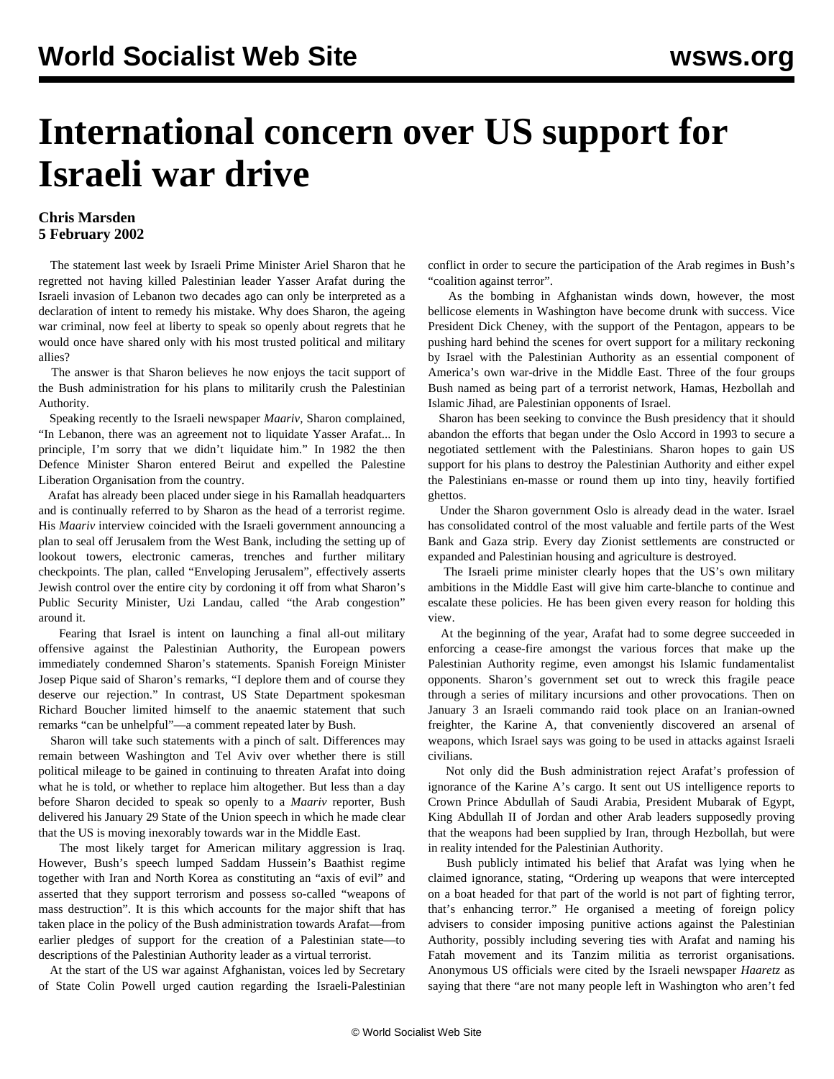## **International concern over US support for Israeli war drive**

## **Chris Marsden 5 February 2002**

 The statement last week by Israeli Prime Minister Ariel Sharon that he regretted not having killed Palestinian leader Yasser Arafat during the Israeli invasion of Lebanon two decades ago can only be interpreted as a declaration of intent to remedy his mistake. Why does Sharon, the ageing war criminal, now feel at liberty to speak so openly about regrets that he would once have shared only with his most trusted political and military allies?

 The answer is that Sharon believes he now enjoys the tacit support of the Bush administration for his plans to militarily crush the Palestinian Authority.

 Speaking recently to the Israeli newspaper *Maariv*, Sharon complained, "In Lebanon, there was an agreement not to liquidate Yasser Arafat... In principle, I'm sorry that we didn't liquidate him." In 1982 the then Defence Minister Sharon entered Beirut and expelled the Palestine Liberation Organisation from the country.

 Arafat has already been placed under siege in his Ramallah headquarters and is continually referred to by Sharon as the head of a terrorist regime. His *Maariv* interview coincided with the Israeli government announcing a plan to seal off Jerusalem from the West Bank, including the setting up of lookout towers, electronic cameras, trenches and further military checkpoints. The plan, called "Enveloping Jerusalem", effectively asserts Jewish control over the entire city by cordoning it off from what Sharon's Public Security Minister, Uzi Landau, called "the Arab congestion" around it.

 Fearing that Israel is intent on launching a final all-out military offensive against the Palestinian Authority, the European powers immediately condemned Sharon's statements. Spanish Foreign Minister Josep Pique said of Sharon's remarks, "I deplore them and of course they deserve our rejection." In contrast, US State Department spokesman Richard Boucher limited himself to the anaemic statement that such remarks "can be unhelpful"—a comment repeated later by Bush.

 Sharon will take such statements with a pinch of salt. Differences may remain between Washington and Tel Aviv over whether there is still political mileage to be gained in continuing to threaten Arafat into doing what he is told, or whether to replace him altogether. But less than a day before Sharon decided to speak so openly to a *Maariv* reporter, Bush delivered his January 29 State of the Union speech in which he made clear that the US is moving inexorably towards war in the Middle East.

 The most likely target for American military aggression is Iraq. However, Bush's speech lumped Saddam Hussein's Baathist regime together with Iran and North Korea as constituting an "axis of evil" and asserted that they support terrorism and possess so-called "weapons of mass destruction". It is this which accounts for the major shift that has taken place in the policy of the Bush administration towards Arafat—from earlier pledges of support for the creation of a Palestinian state—to descriptions of the Palestinian Authority leader as a virtual terrorist.

 At the start of the US war against Afghanistan, voices led by Secretary of State Colin Powell urged caution regarding the Israeli-Palestinian conflict in order to secure the participation of the Arab regimes in Bush's "coalition against terror".

 As the bombing in Afghanistan winds down, however, the most bellicose elements in Washington have become drunk with success. Vice President Dick Cheney, with the support of the Pentagon, appears to be pushing hard behind the scenes for overt support for a military reckoning by Israel with the Palestinian Authority as an essential component of America's own war-drive in the Middle East. Three of the four groups Bush named as being part of a terrorist network, Hamas, Hezbollah and Islamic Jihad, are Palestinian opponents of Israel.

 Sharon has been seeking to convince the Bush presidency that it should abandon the efforts that began under the Oslo Accord in 1993 to secure a negotiated settlement with the Palestinians. Sharon hopes to gain US support for his plans to destroy the Palestinian Authority and either expel the Palestinians en-masse or round them up into tiny, heavily fortified ghettos.

 Under the Sharon government Oslo is already dead in the water. Israel has consolidated control of the most valuable and fertile parts of the West Bank and Gaza strip. Every day Zionist settlements are constructed or expanded and Palestinian housing and agriculture is destroyed.

 The Israeli prime minister clearly hopes that the US's own military ambitions in the Middle East will give him carte-blanche to continue and escalate these policies. He has been given every reason for holding this view.

 At the beginning of the year, Arafat had to some degree succeeded in enforcing a cease-fire amongst the various forces that make up the Palestinian Authority regime, even amongst his Islamic fundamentalist opponents. Sharon's government set out to wreck this fragile peace through a series of military incursions and other provocations. Then on January 3 an Israeli commando raid took place on an Iranian-owned freighter, the Karine A, that conveniently discovered an arsenal of weapons, which Israel says was going to be used in attacks against Israeli civilians.

 Not only did the Bush administration reject Arafat's profession of ignorance of the Karine A's cargo. It sent out US intelligence reports to Crown Prince Abdullah of Saudi Arabia, President Mubarak of Egypt, King Abdullah II of Jordan and other Arab leaders supposedly proving that the weapons had been supplied by Iran, through Hezbollah, but were in reality intended for the Palestinian Authority.

 Bush publicly intimated his belief that Arafat was lying when he claimed ignorance, stating, "Ordering up weapons that were intercepted on a boat headed for that part of the world is not part of fighting terror, that's enhancing terror." He organised a meeting of foreign policy advisers to consider imposing punitive actions against the Palestinian Authority, possibly including severing ties with Arafat and naming his Fatah movement and its Tanzim militia as terrorist organisations. Anonymous US officials were cited by the Israeli newspaper *Haaretz* as saying that there "are not many people left in Washington who aren't fed